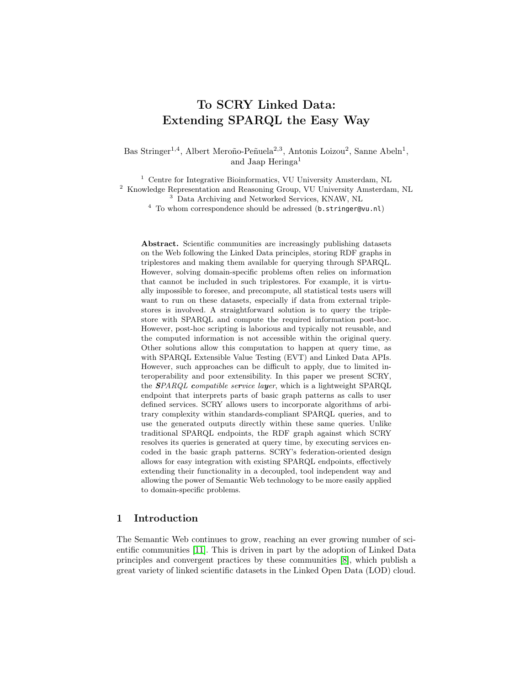# To SCRY Linked Data: Extending SPARQL the Easy Way

Bas Stringer<sup>1,4</sup>, Albert Meroño-Peñuela<sup>2,3</sup>, Antonis Loizou<sup>2</sup>, Sanne Abeln<sup>1</sup>, and Jaap Heringa<sup>1</sup>

<sup>1</sup> Centre for Integrative Bioinformatics, VU University Amsterdam, NL <sup>2</sup> Knowledge Representation and Reasoning Group, VU University Amsterdam, NL <sup>3</sup> Data Archiving and Networked Services, KNAW, NL

 $4$  To whom correspondence should be adressed (b.stringer@vu.nl)

Abstract. Scientific communities are increasingly publishing datasets on the Web following the Linked Data principles, storing RDF graphs in triplestores and making them available for querying through SPARQL. However, solving domain-specific problems often relies on information that cannot be included in such triplestores. For example, it is virtually impossible to foresee, and precompute, all statistical tests users will want to run on these datasets, especially if data from external triplestores is involved. A straightforward solution is to query the triplestore with SPARQL and compute the required information post-hoc. However, post-hoc scripting is laborious and typically not reusable, and the computed information is not accessible within the original query. Other solutions allow this computation to happen at query time, as with SPARQL Extensible Value Testing (EVT) and Linked Data APIs. However, such approaches can be difficult to apply, due to limited interoperability and poor extensibility. In this paper we present SCRY, the **SPARQL** compatible service layer, which is a lightweight SPARQL endpoint that interprets parts of basic graph patterns as calls to user defined services. SCRY allows users to incorporate algorithms of arbitrary complexity within standards-compliant SPARQL queries, and to use the generated outputs directly within these same queries. Unlike traditional SPARQL endpoints, the RDF graph against which SCRY resolves its queries is generated at query time, by executing services encoded in the basic graph patterns. SCRY's federation-oriented design allows for easy integration with existing SPARQL endpoints, effectively extending their functionality in a decoupled, tool independent way and allowing the power of Semantic Web technology to be more easily applied to domain-specific problems.

## 1 Introduction

The Semantic Web continues to grow, reaching an ever growing number of scientific communities [\[11\]](#page-6-0). This is driven in part by the adoption of Linked Data principles and convergent practices by these communities [\[8\]](#page-6-1), which publish a great variety of linked scientific datasets in the Linked Open Data (LOD) cloud.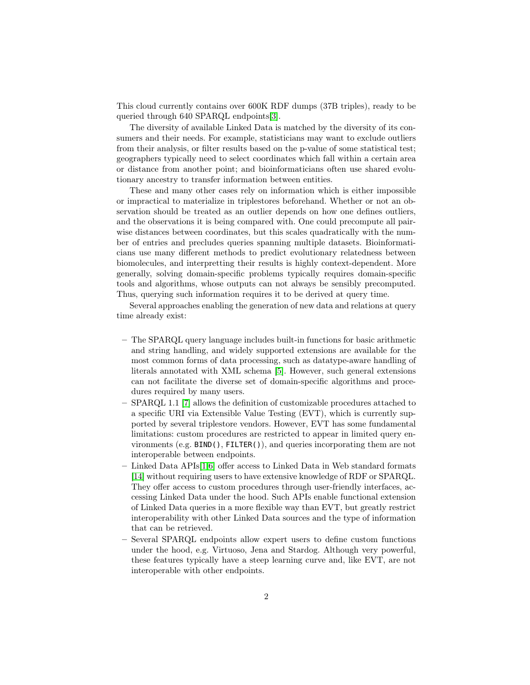This cloud currently contains over 600K RDF dumps (37B triples), ready to be queried through 640 SPARQL endpoints[\[3\]](#page-6-2).

The diversity of available Linked Data is matched by the diversity of its consumers and their needs. For example, statisticians may want to exclude outliers from their analysis, or filter results based on the p-value of some statistical test; geographers typically need to select coordinates which fall within a certain area or distance from another point; and bioinformaticians often use shared evolutionary ancestry to transfer information between entities.

These and many other cases rely on information which is either impossible or impractical to materialize in triplestores beforehand. Whether or not an observation should be treated as an outlier depends on how one defines outliers, and the observations it is being compared with. One could precompute all pairwise distances between coordinates, but this scales quadratically with the number of entries and precludes queries spanning multiple datasets. Bioinformaticians use many different methods to predict evolutionary relatedness between biomolecules, and interpretting their results is highly context-dependent. More generally, solving domain-specific problems typically requires domain-specific tools and algorithms, whose outputs can not always be sensibly precomputed. Thus, querying such information requires it to be derived at query time.

Several approaches enabling the generation of new data and relations at query time already exist:

- The SPARQL query language includes built-in functions for basic arithmetic and string handling, and widely supported extensions are available for the most common forms of data processing, such as datatype-aware handling of literals annotated with XML schema [\[5\]](#page-6-3). However, such general extensions can not facilitate the diverse set of domain-specific algorithms and procedures required by many users.
- SPARQL 1.1 [\[7\]](#page-6-4) allows the definition of customizable procedures attached to a specific URI via Extensible Value Testing (EVT), which is currently supported by several triplestore vendors. However, EVT has some fundamental limitations: custom procedures are restricted to appear in limited query environments (e.g. BIND(), FILTER()), and queries incorporating them are not interoperable between endpoints.
- Linked Data APIs[\[1](#page-6-5)[,6\]](#page-6-6) offer access to Linked Data in Web standard formats [\[14\]](#page-6-7) without requiring users to have extensive knowledge of RDF or SPARQL. They offer access to custom procedures through user-friendly interfaces, accessing Linked Data under the hood. Such APIs enable functional extension of Linked Data queries in a more flexible way than EVT, but greatly restrict interoperability with other Linked Data sources and the type of information that can be retrieved.
- Several SPARQL endpoints allow expert users to define custom functions under the hood, e.g. Virtuoso, Jena and Stardog. Although very powerful, these features typically have a steep learning curve and, like EVT, are not interoperable with other endpoints.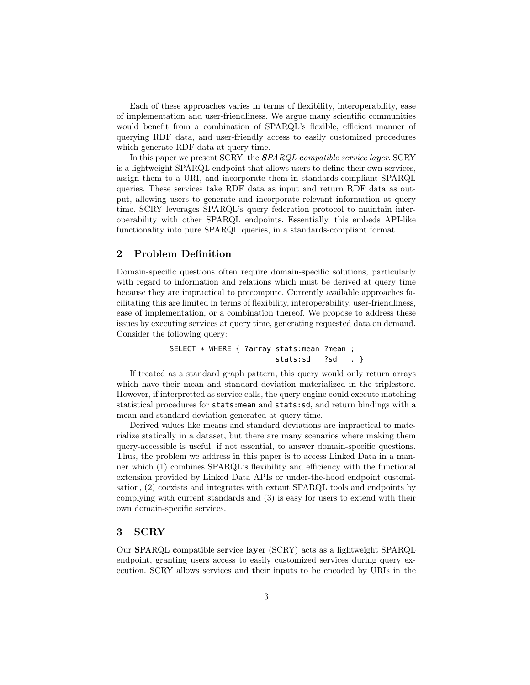Each of these approaches varies in terms of flexibility, interoperability, ease of implementation and user-friendliness. We argue many scientific communities would benefit from a combination of SPARQL's flexible, efficient manner of querying RDF data, and user-friendly access to easily customized procedures which generate RDF data at query time.

In this paper we present SCRY, the **SPARQL** compatible service layer. SCRY is a lightweight SPARQL endpoint that allows users to define their own services, assign them to a URI, and incorporate them in standards-compliant SPARQL queries. These services take RDF data as input and return RDF data as output, allowing users to generate and incorporate relevant information at query time. SCRY leverages SPARQL's query federation protocol to maintain interoperability with other SPARQL endpoints. Essentially, this embeds API-like functionality into pure SPARQL queries, in a standards-compliant format.

### 2 Problem Definition

Domain-specific questions often require domain-specific solutions, particularly with regard to information and relations which must be derived at query time because they are impractical to precompute. Currently available approaches facilitating this are limited in terms of flexibility, interoperability, user-friendliness, ease of implementation, or a combination thereof. We propose to address these issues by executing services at query time, generating requested data on demand. Consider the following query:

```
SELECT * WHERE { ?array stats:mean ?mean ;
           stats:sd ?sd . }
```
If treated as a standard graph pattern, this query would only return arrays which have their mean and standard deviation materialized in the triplestore. However, if interpretted as service calls, the query engine could execute matching statistical procedures for stats:mean and stats:sd, and return bindings with a mean and standard deviation generated at query time.

Derived values like means and standard deviations are impractical to materialize statically in a dataset, but there are many scenarios where making them query-accessible is useful, if not essential, to answer domain-specific questions. Thus, the problem we address in this paper is to access Linked Data in a manner which (1) combines SPARQL's flexibility and efficiency with the functional extension provided by Linked Data APIs or under-the-hood endpoint customisation, (2) coexists and integrates with extant SPARQL tools and endpoints by complying with current standards and (3) is easy for users to extend with their own domain-specific services.

## 3 SCRY

Our SPARQL compatible service layer (SCRY) acts as a lightweight SPARQL endpoint, granting users access to easily customized services during query execution. SCRY allows services and their inputs to be encoded by URIs in the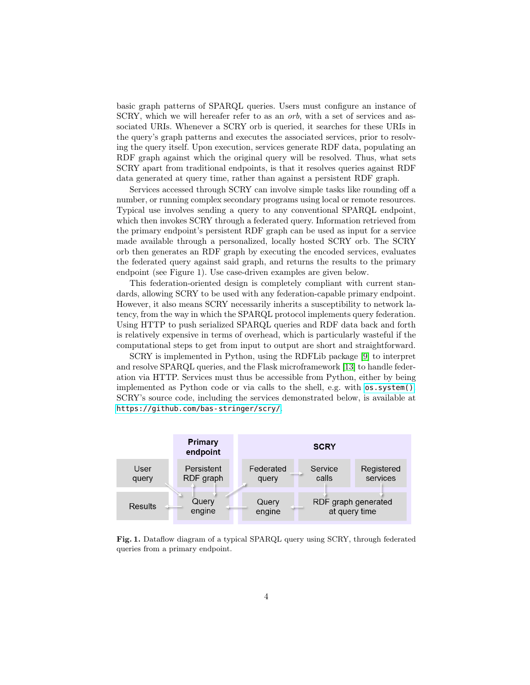basic graph patterns of SPARQL queries. Users must configure an instance of SCRY, which we will hereafer refer to as an *orb*, with a set of services and associated URIs. Whenever a SCRY orb is queried, it searches for these URIs in the query's graph patterns and executes the associated services, prior to resolving the query itself. Upon execution, services generate RDF data, populating an RDF graph against which the original query will be resolved. Thus, what sets SCRY apart from traditional endpoints, is that it resolves queries against RDF data generated at query time, rather than against a persistent RDF graph.

Services accessed through SCRY can involve simple tasks like rounding off a number, or running complex secondary programs using local or remote resources. Typical use involves sending a query to any conventional SPARQL endpoint, which then invokes SCRY through a federated query. Information retrieved from the primary endpoint's persistent RDF graph can be used as input for a service made available through a personalized, locally hosted SCRY orb. The SCRY orb then generates an RDF graph by executing the encoded services, evaluates the federated query against said graph, and returns the results to the primary endpoint (see Figure 1). Use case-driven examples are given below.

This federation-oriented design is completely compliant with current standards, allowing SCRY to be used with any federation-capable primary endpoint. However, it also means SCRY necessarily inherits a susceptibility to network latency, from the way in which the SPARQL protocol implements query federation. Using HTTP to push serialized SPARQL queries and RDF data back and forth is relatively expensive in terms of overhead, which is particularly wasteful if the computational steps to get from input to output are short and straightforward.

SCRY is implemented in Python, using the RDFLib package [\[9\]](#page-6-8) to interpret and resolve SPARQL queries, and the Flask microframework [\[13\]](#page-6-9) to handle federation via HTTP. Services must thus be accessible from Python, either by being implemented as Python code or via calls to the shell, e.g. with [os.system\(\)](os.system()). SCRY's source code, including the services demonstrated below, is available at <https://github.com/bas-stringer/scry/>.



Fig. 1. Dataflow diagram of a typical SPARQL query using SCRY, through federated queries from a primary endpoint.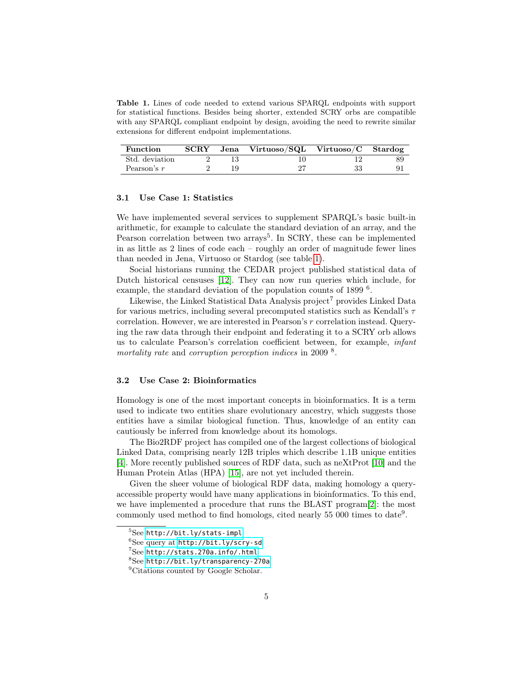<span id="page-4-0"></span>Table 1. Lines of code needed to extend various SPARQL endpoints with support for statistical functions. Besides being shorter, extended SCRY orbs are compatible with any SPARQL compliant endpoint by design, avoiding the need to rewrite similar extensions for different endpoint implementations.

| <b>Function</b> |  | $SCRY$ Jena Virtuoso/SQL Virtuoso/C Stardog |    |  |
|-----------------|--|---------------------------------------------|----|--|
| Std. deviation  |  |                                             |    |  |
| Pearson's r     |  |                                             | 33 |  |

#### 3.1 Use Case 1: Statistics

We have implemented several services to supplement SPARQL's basic built-in arithmetic, for example to calculate the standard deviation of an array, and the Pearson correlation between two arrays<sup>5</sup>. In SCRY, these can be implemented in as little as 2 lines of code each – roughly an order of magnitude fewer lines than needed in Jena, Virtuoso or Stardog (see table [1\)](#page-4-0).

Social historians running the CEDAR project published statistical data of Dutch historical censuses [\[12\]](#page-6-10). They can now run queries which include, for example, the standard deviation of the population counts of 1899<sup>6</sup>.

Likewise, the Linked Statistical Data Analysis project<sup>7</sup> provides Linked Data for various metrics, including several precomputed statistics such as Kendall's  $\tau$ correlation. However, we are interested in Pearson's r correlation instead. Querying the raw data through their endpoint and federating it to a SCRY orb allows us to calculate Pearson's correlation coefficient between, for example, infant mortality rate and corruption perception indices in 2009<sup>8</sup>.

#### 3.2 Use Case 2: Bioinformatics

Homology is one of the most important concepts in bioinformatics. It is a term used to indicate two entities share evolutionary ancestry, which suggests those entities have a similar biological function. Thus, knowledge of an entity can cautiously be inferred from knowledge about its homologs.

The Bio2RDF project has compiled one of the largest collections of biological Linked Data, comprising nearly 12B triples which describe 1.1B unique entities [\[4\]](#page-6-11). More recently published sources of RDF data, such as neXtProt [\[10\]](#page-6-12) and the Human Protein Atlas (HPA) [\[15\]](#page-6-13), are not yet included therein.

Given the sheer volume of biological RDF data, making homology a queryaccessible property would have many applications in bioinformatics. To this end, we have implemented a procedure that runs the BLAST program[\[2\]](#page-6-14): the most commonly used method to find homologs, cited nearly 55 000 times to date<sup>9</sup>.

<sup>5</sup>See <http://bit.ly/stats-impl>

 ${}^{6}$ See query at <http://bit.ly/scry-sd>

<sup>7</sup>See <http://stats.270a.info/.html>

<sup>8</sup>See <http://bit.ly/transparency-270a>

<sup>&</sup>lt;sup>9</sup>Citations counted by Google Scholar.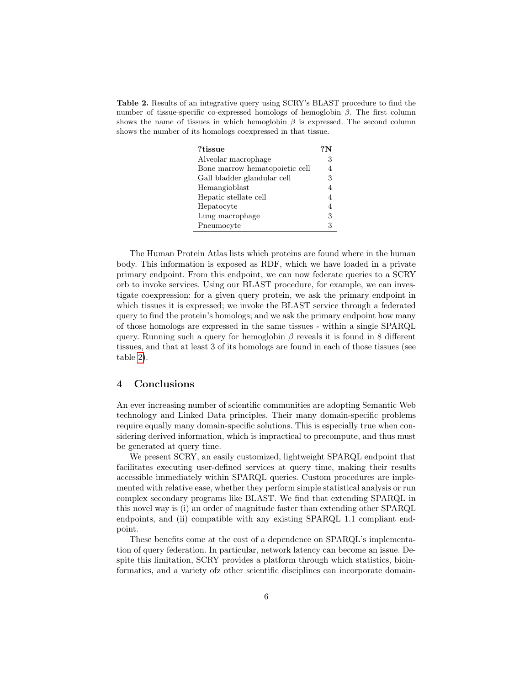<span id="page-5-0"></span>Table 2. Results of an integrative query using SCRY's BLAST procedure to find the number of tissue-specific co-expressed homologs of hemoglobin  $\beta$ . The first column shows the name of tissues in which hemoglobin  $\beta$  is expressed. The second column shows the number of its homologs coexpressed in that tissue.

| ?tissue                        |   |
|--------------------------------|---|
| Alveolar macrophage            | 3 |
| Bone marrow hematopoietic cell | 4 |
| Gall bladder glandular cell    | 3 |
| Hemangioblast                  | 4 |
| Hepatic stellate cell          | 4 |
| Hepatocyte                     | 4 |
| Lung macrophage                | 3 |
| Pneumocyte                     | 3 |

The Human Protein Atlas lists which proteins are found where in the human body. This information is exposed as RDF, which we have loaded in a private primary endpoint. From this endpoint, we can now federate queries to a SCRY orb to invoke services. Using our BLAST procedure, for example, we can investigate coexpression: for a given query protein, we ask the primary endpoint in which tissues it is expressed; we invoke the BLAST service through a federated query to find the protein's homologs; and we ask the primary endpoint how many of those homologs are expressed in the same tissues - within a single SPARQL query. Running such a query for hemoglobin  $\beta$  reveals it is found in 8 different tissues, and that at least 3 of its homologs are found in each of those tissues (see table [2\)](#page-5-0).

## 4 Conclusions

An ever increasing number of scientific communities are adopting Semantic Web technology and Linked Data principles. Their many domain-specific problems require equally many domain-specific solutions. This is especially true when considering derived information, which is impractical to precompute, and thus must be generated at query time.

We present SCRY, an easily customized, lightweight SPARQL endpoint that facilitates executing user-defined services at query time, making their results accessible immediately within SPARQL queries. Custom procedures are implemented with relative ease, whether they perform simple statistical analysis or run complex secondary programs like BLAST. We find that extending SPARQL in this novel way is (i) an order of magnitude faster than extending other SPARQL endpoints, and (ii) compatible with any existing SPARQL 1.1 compliant endpoint.

These benefits come at the cost of a dependence on SPARQL's implementation of query federation. In particular, network latency can become an issue. Despite this limitation, SCRY provides a platform through which statistics, bioinformatics, and a variety ofz other scientific disciplines can incorporate domain